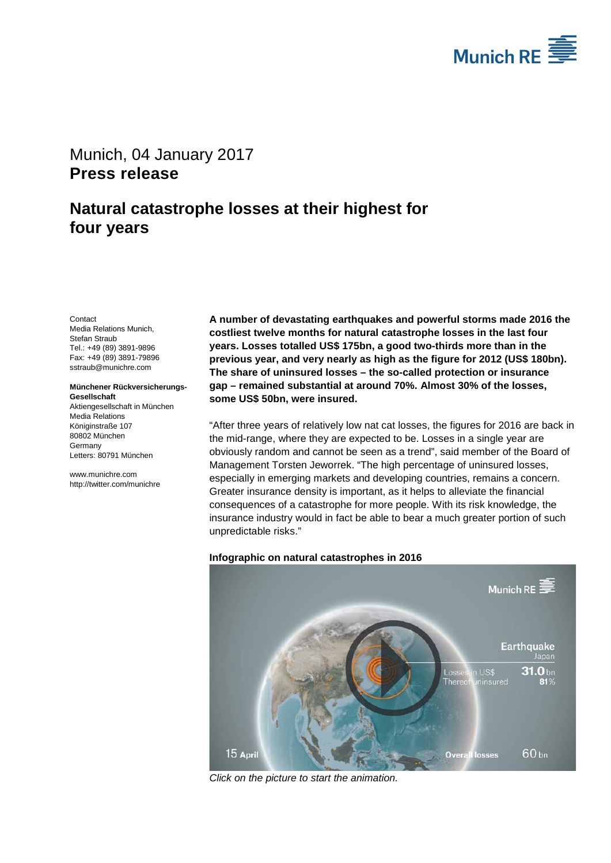

# <span id="page-0-1"></span><span id="page-0-0"></span>Munich, 04 January 2017 **Press release**

# **Natural catastrophe losses at their highest for four years**

<span id="page-0-3"></span><span id="page-0-2"></span>**Contact** Media Relations Munich, Stefan Straub Tel.: +49 (89) 3891-9896 Fax: +49 (89) 3891-79896 sstraub@munichre.com

#### **Münchener Rückversicherungs-Gesellschaft**

Aktiengesellschaft in München Media Relations Königinstraße 107 80802 München **Germany** Letters: 80791 München

www.munichre.com http://twitter.com/munichre **A number of devastating earthquakes and powerful storms made 2016 the costliest twelve months for natural catastrophe losses in the last four years. Losses totalled US\$ 175bn, a good two-thirds more than in the previous year, and very nearly as high as the figure for 2012 (US\$ 180bn). The share of uninsured losses – the so-called protection or insurance gap – remained substantial at around 70%. Almost 30% of the losses, some US\$ 50bn, were insured.**

"After three years of relatively low nat cat losses, the figures for 2016 are back in the mid-range, where they are expected to be. Losses in a single year are obviously random and cannot be seen as a trend", said member of the Board of Management Torsten Jeworrek. "The high percentage of uninsured losses, especially in emerging markets and developing countries, remains a concern. Greater insurance density is important, as it helps to alleviate the financial consequences of a catastrophe for more people. With its risk knowledge, the insurance industry would in fact be able to bear a much greater portion of such unpredictable risks."

# **Infographic on natural catastrophes in 2016**



*Click on the picture to start the animation.*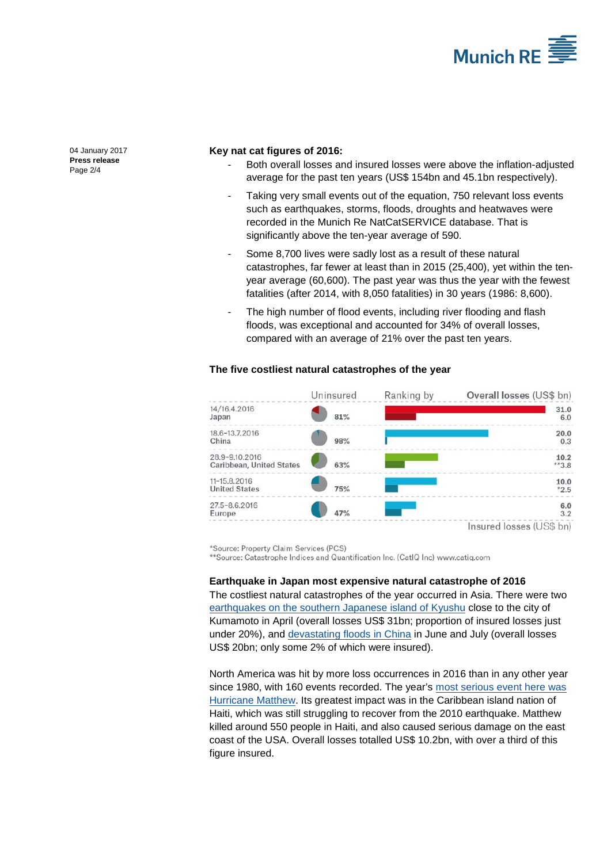

[04 January 2017](#page-0-0) **Press [release](#page-0-1)** Page 2/4

## **Key nat cat figures of 2016:**

- Both overall losses and insured losses were above the inflation-adjusted average for the past ten years (US\$ 154bn and 45.1bn respectively).
- Taking very small events out of the equation, 750 relevant loss events such as earthquakes, storms, floods, droughts and heatwaves were recorded in the Munich Re NatCatSERVICE database. That is significantly above the ten-year average of 590.
- Some 8,700 lives were sadly lost as a result of these natural catastrophes, far fewer at least than in 2015 (25,400), yet within the tenyear average (60,600). The past year was thus the year with the fewest fatalities (after 2014, with 8,050 fatalities) in 30 years (1986: 8,600).
- The high number of flood events, including river flooding and flash floods, was exceptional and accounted for 34% of overall losses, compared with an average of 21% over the past ten years.

|                                            | Uninsured | Ranking by | Overall losses (US\$ bn)     |
|--------------------------------------------|-----------|------------|------------------------------|
| 14/16.4.2016<br>Japan                      | 81%       |            | 31.0<br>6.0                  |
| 18.6-13.7.2016<br>China                    | 98%       |            | 20.0<br>0.3                  |
| 28.9-9.10.2016<br>Caribbean, United States | 63%       |            | 10.2<br>$*$ <sup>*</sup> 3.8 |
| 11-15.8.2016<br><b>United States</b>       | 75%       |            | 10.0<br>$*2.5$               |
| 27.5-8.6.2016<br>Europe                    | 47%       |            | 6.0<br>3.2                   |
|                                            |           |            | Insured losses (US\$ bn)     |

## **The five costliest natural catastrophes of the year**

\*Source: Property Claim Services (PCS)

\*\*Source: Catastrophe Indices and Quantification Inc. (CatlQ Inc) www.catiq.com

### **Earthquake in Japan most expensive natural catastrophe of 2016**

The costliest natural catastrophes of the year occurred in Asia. There were two [earthquakes on the southern Japanese island of Kyushu](https://www.munichre.com/2016/earthquake-kumamoto-japan) close to the city of Kumamoto in April (overall losses US\$ 31bn; proportion of insured losses just under 20%), and [devastating floods in China](https://www.munichre.com/2016/flood-china) in June and July (overall losses US\$ 20bn; only some 2% of which were insured).

North America was hit by more loss occurrences in 2016 than in any other year since 1980, with 160 events recorded. The year's most serious event here was [Hurricane Matthew.](https://www.munichre.com/2016/hurricane-matthew) Its greatest impact was in the Caribbean island nation of Haiti, which was still struggling to recover from the 2010 earthquake. Matthew killed around 550 people in Haiti, and also caused serious damage on the east coast of the USA. Overall losses totalled US\$ 10.2bn, with over a third of this figure insured.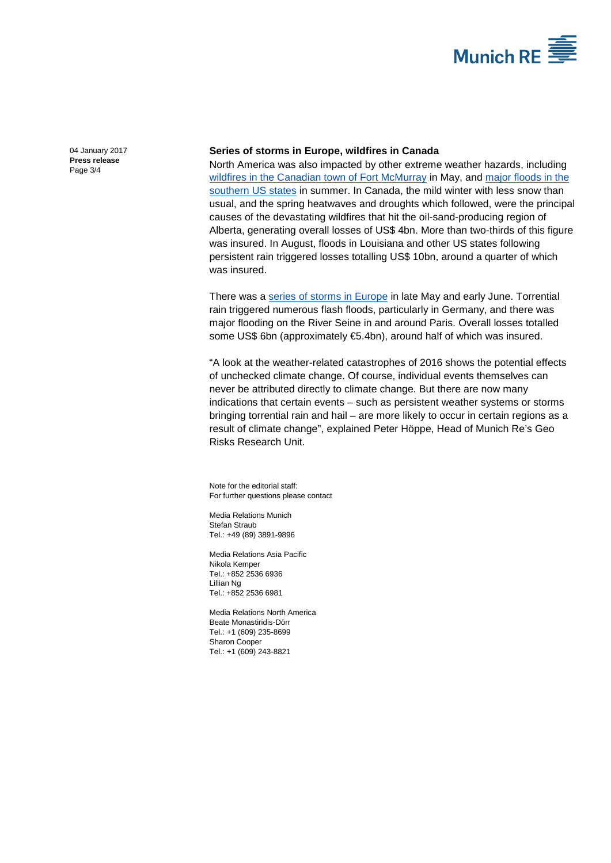

[04 January 2017](#page-0-0) **Press [release](#page-0-1)** Page 3/4

## **Series of storms in Europe, wildfires in Canada**

North America was also impacted by other extreme weather hazards, including [wildfires in the Canadian town of Fort McMurray](https://www.munichre.com/2016/wildfire-canada) in May, and [major floods in the](https://www.munichre.com/2016/flood-louisiana)  [southern US states](https://www.munichre.com/2016/flood-louisiana) in summer. In Canada, the mild winter with less snow than usual, and the spring heatwaves and droughts which followed, were the principal causes of the devastating wildfires that hit the oil-sand-producing region of Alberta, generating overall losses of US\$ 4bn. More than two-thirds of this figure was insured. In August, floods in Louisiana and other US states following persistent rain triggered losses totalling US\$ 10bn, around a quarter of which was insured.

There was a [series of storms in Europe](https://www.munichre.com/2016/flood-central-europe) in late May and early June. Torrential rain triggered numerous flash floods, particularly in Germany, and there was major flooding on the River Seine in and around Paris. Overall losses totalled some US\$ 6bn (approximately €5.4bn), around half of which was insured.

"A look at the weather-related catastrophes of 2016 shows the potential effects of unchecked climate change. Of course, individual events themselves can never be attributed directly to climate change. But there are now many indications that certain events – such as persistent weather systems or storms bringing torrential rain and hail – are more likely to occur in certain regions as a result of climate change", explained Peter Höppe, Head of Munich Re's Geo Risks Research Unit.

Note for the editorial staff: For further questions please contact

Media Relations Munich [Stefan Straub](#page-0-2) Tel.: +49 (89) 389[1-9896](#page-0-3)

Media Relations Asia Pacific Nikola Kemper Tel.: +852 2536 6936 Lillian Ng Tel.: +852 2536 6981

Media Relations North America Beate Monastiridis-Dörr Tel.: +1 (609) 235-8699 Sharon Cooper Tel.: +1 (609) 243-8821